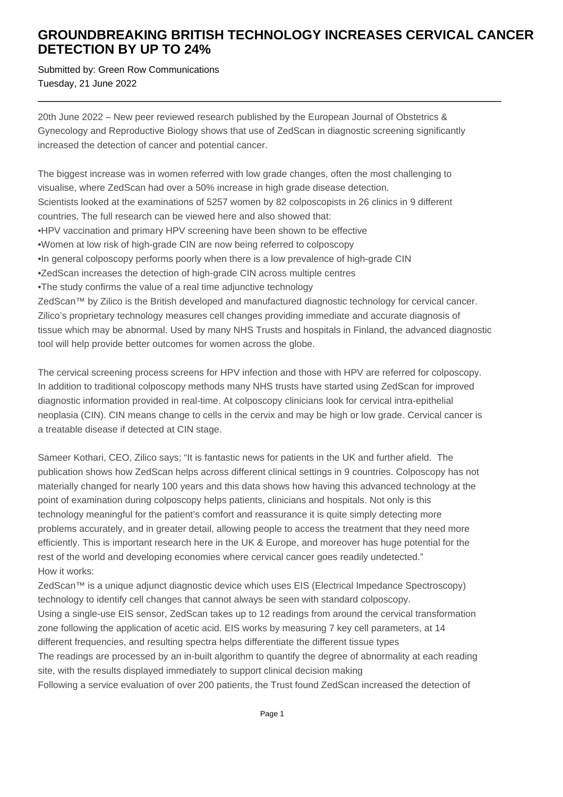## **GROUNDBREAKING BRITISH TECHNOLOGY INCREASES CERVICAL CANCER DETECTION BY UP TO 24%**

Submitted by: Green Row Communications Tuesday, 21 June 2022

20th June 2022 – New peer reviewed research published by the European Journal of Obstetrics & Gynecology and Reproductive Biology shows that use of ZedScan in diagnostic screening significantly increased the detection of cancer and potential cancer.

The biggest increase was in women referred with low grade changes, often the most challenging to visualise, where ZedScan had over a 50% increase in high grade disease detection. Scientists looked at the examinations of 5257 women by 82 colposcopists in 26 clinics in 9 different countries. The full research can be viewed here and also showed that:

- HPV vaccination and primary HPV screening have been shown to be effective
- • Women at low risk of high-grade CIN are now being referred to colposcopy
- In general colposcopy performs poorly when there is a low prevalence of high-grade CIN
- ZedScan increases the detection of high-grade CIN across multiple centres
- The study confirms the value of a real time adiunctive technology

ZedScan™ by Zilico is the British developed and manufactured diagnostic technology for cervical cancer. Zilico's proprietary technology measures cell changes providing immediate and accurate diagnosis of tissue which may be abnormal. Used by many NHS Trusts and hospitals in Finland, the advanced diagnostic tool will help provide better outcomes for women across the globe.

The cervical screening process screens for HPV infection and those with HPV are referred for colposcopy. In addition to traditional colposcopy methods many NHS trusts have started using ZedScan for improved diagnostic information provided in real-time. At colposcopy clinicians look for cervical intra-epithelial neoplasia (CIN). CIN means change to cells in the cervix and may be high or low grade. Cervical cancer is a treatable disease if detected at CIN stage.

Sameer Kothari, CEO, Zilico says; "It is fantastic news for patients in the UK and further afield. The publication shows how ZedScan helps across different clinical settings in 9 countries. Colposcopy has not materially changed for nearly 100 years and this data shows how having this advanced technology at the point of examination during colposcopy helps patients, clinicians and hospitals. Not only is this technology meaningful for the patient's comfort and reassurance it is quite simply detecting more problems accurately, and in greater detail, allowing people to access the treatment that they need more efficiently. This is important research here in the UK & Europe, and moreover has huge potential for the rest of the world and developing economies where cervical cancer goes readily undetected." How it works:

ZedScan™ is a unique adjunct diagnostic device which uses EIS (Electrical Impedance Spectroscopy) technology to identify cell changes that cannot always be seen with standard colposcopy.

Using a single-use EIS sensor, ZedScan takes up to 12 readings from around the cervical transformation zone following the application of acetic acid. EIS works by measuring 7 key cell parameters, at 14 different frequencies, and resulting spectra helps differentiate the different tissue types

The readings are processed by an in-built algorithm to quantify the degree of abnormality at each reading site, with the results displayed immediately to support clinical decision making

Following a service evaluation of over 200 patients, the Trust found ZedScan increased the detection of